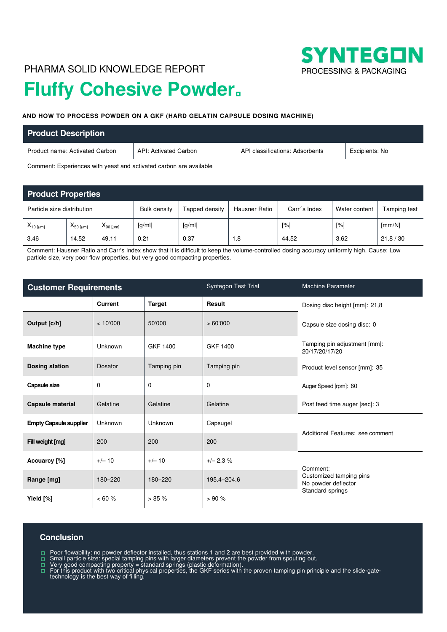### PHARMA SOLID KNOWLEDGE REPORT



# **Fluffy Cohesive Powder**

#### **AND HOW TO PROCESS POWDER ON A GKF (HARD GELATIN CAPSULE DOSING MACHINE)**

| <b>Product Description</b>     |                       |                                 |                |
|--------------------------------|-----------------------|---------------------------------|----------------|
| Product name: Activated Carbon | API: Activated Carbon | API classifications: Adsorbents | Excipients: No |

Comment: Experiences with yeast and activated carbon are available

| <b>Product Properties</b>  |                    |                        |                     |                |               |              |               |                            |
|----------------------------|--------------------|------------------------|---------------------|----------------|---------------|--------------|---------------|----------------------------|
| Particle size distribution |                    |                        | <b>Bulk density</b> | Tapped density | Hausner Ratio | Carr's Index | Water content | Tamping test               |
| $X_{10}$ [ $\mu$ m]        | $X_{50 \,[\mu m]}$ | $\lambda_{90~[\mu m]}$ | [g/ml]              | [g/ml]         |               | [%]          | [%]           | $\left[\text{mm/N}\right]$ |
| 3.46                       | 14.52              | 49.11                  | 0.21                | 0.37           | 1.8           | 44.52        | 3.62          | 21.8 / 30                  |

Comment: Hausner Ratio and Carr's Index show that it is difficult to keep the volume-controlled dosing accuracy uniformly high. Cause: Low particle size, very poor flow properties, but very good compacting properties.

| <b>Customer Requirements</b>  |                | Syntegon Test Trial | <b>Machine Parameter</b> |                                                                                |  |
|-------------------------------|----------------|---------------------|--------------------------|--------------------------------------------------------------------------------|--|
|                               | Current        | <b>Target</b>       | Result                   | Dosing disc height [mm]: 21,8                                                  |  |
| Output [c/h]                  | < 10'000       | 50'000              | >60'000                  | Capsule size dosing disc: 0                                                    |  |
| <b>Machine type</b>           | Unknown        | GKF 1400            | <b>GKF 1400</b>          | Tamping pin adjustment [mm]:<br>20/17/20/17/20                                 |  |
| <b>Dosing station</b>         | <b>Dosator</b> | Tamping pin         | Tamping pin              | Product level sensor [mm]: 35                                                  |  |
| Capsule size                  | 0              | $\mathbf{0}$        | $\mathbf{0}$             | Auger Speed [rpm]: 60                                                          |  |
| Capsule material              | Gelatine       | Gelatine            | Gelatine                 | Post feed time auger [sec]: 3                                                  |  |
| <b>Empty Capsule supplier</b> | Unknown        | Unknown             | Capsugel                 | Additional Features: see comment                                               |  |
| Fill weight [mg]              | 200            | 200                 | 200                      |                                                                                |  |
| Accuarcy [%]                  | $+/- 10$       | $+/- 10$            | $+/- 2.3 \%$             | Comment:<br>Customized tamping pins<br>No powder deflector<br>Standard springs |  |
| Range [mg]                    | 180-220        | 180-220             | 195.4-204.6              |                                                                                |  |
| Yield [%]                     | $< 60 \%$      | $> 85 \%$           | >90%                     |                                                                                |  |

#### **Conclusion**

- $\Box$ Poor flowability: no powder deflector installed, thus stations 1 and 2 are best provided with powder. Small particle size: special tamping pins with larger diameters prevent the powder from spouting out.
- $\Box$
- 
- $\frac{1}{1}$ Very good compacting property = standard springs (plastic deformation).<br>For this product with two critical physical properties, the GKF series with the proven tamping pin principle and the slide-gate-<br>technology is the bes